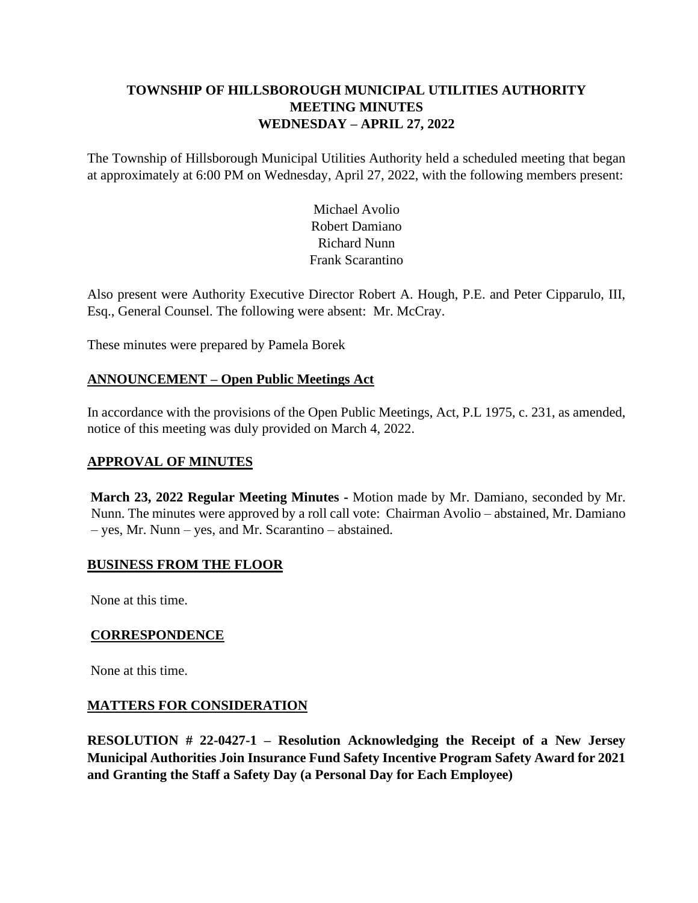### **TOWNSHIP OF HILLSBOROUGH MUNICIPAL UTILITIES AUTHORITY MEETING MINUTES WEDNESDAY – APRIL 27, 2022**

The Township of Hillsborough Municipal Utilities Authority held a scheduled meeting that began at approximately at 6:00 PM on Wednesday, April 27, 2022, with the following members present:

> Michael Avolio Robert Damiano Richard Nunn Frank Scarantino

Also present were Authority Executive Director Robert A. Hough, P.E. and Peter Cipparulo, III, Esq., General Counsel. The following were absent: Mr. McCray.

These minutes were prepared by Pamela Borek

### **ANNOUNCEMENT – Open Public Meetings Act**

In accordance with the provisions of the Open Public Meetings, Act, P.L 1975, c. 231, as amended, notice of this meeting was duly provided on March 4, 2022.

#### **APPROVAL OF MINUTES**

**March 23, 2022 Regular Meeting Minutes -** Motion made by Mr. Damiano, seconded by Mr. Nunn. The minutes were approved by a roll call vote: Chairman Avolio – abstained, Mr. Damiano – yes, Mr. Nunn – yes, and Mr. Scarantino – abstained.

#### **BUSINESS FROM THE FLOOR**

None at this time.

#### **CORRESPONDENCE**

None at this time.

#### **MATTERS FOR CONSIDERATION**

**RESOLUTION # 22-0427-1 – Resolution Acknowledging the Receipt of a New Jersey Municipal Authorities Join Insurance Fund Safety Incentive Program Safety Award for 2021 and Granting the Staff a Safety Day (a Personal Day for Each Employee)**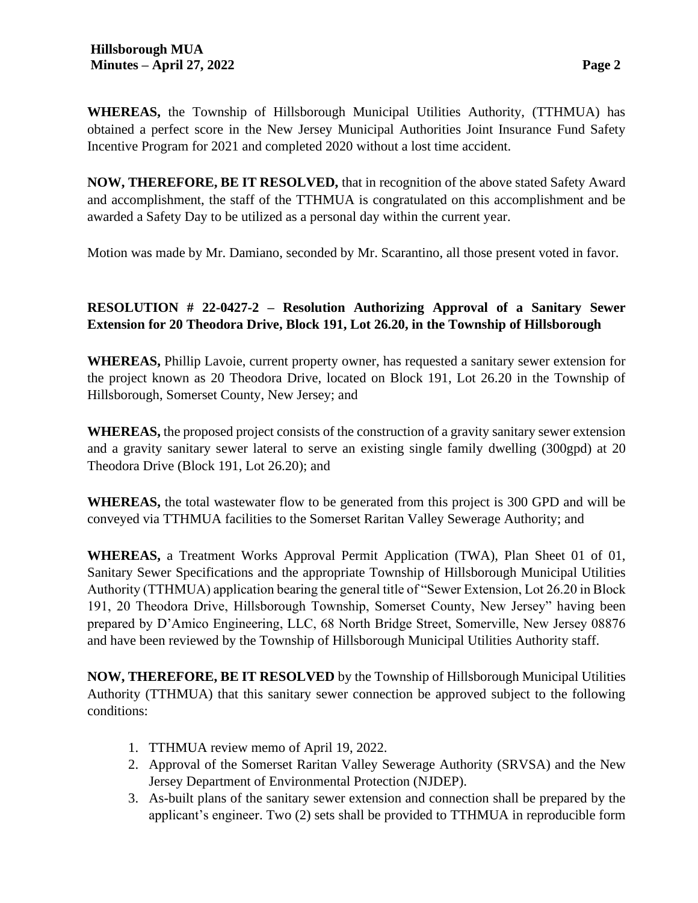**WHEREAS,** the Township of Hillsborough Municipal Utilities Authority, (TTHMUA) has obtained a perfect score in the New Jersey Municipal Authorities Joint Insurance Fund Safety Incentive Program for 2021 and completed 2020 without a lost time accident.

**NOW, THEREFORE, BE IT RESOLVED,** that in recognition of the above stated Safety Award and accomplishment, the staff of the TTHMUA is congratulated on this accomplishment and be awarded a Safety Day to be utilized as a personal day within the current year.

Motion was made by Mr. Damiano, seconded by Mr. Scarantino, all those present voted in favor.

### **RESOLUTION # 22-0427-2 – Resolution Authorizing Approval of a Sanitary Sewer Extension for 20 Theodora Drive, Block 191, Lot 26.20, in the Township of Hillsborough**

**WHEREAS,** Phillip Lavoie, current property owner, has requested a sanitary sewer extension for the project known as 20 Theodora Drive, located on Block 191, Lot 26.20 in the Township of Hillsborough, Somerset County, New Jersey; and

**WHEREAS,** the proposed project consists of the construction of a gravity sanitary sewer extension and a gravity sanitary sewer lateral to serve an existing single family dwelling (300gpd) at 20 Theodora Drive (Block 191, Lot 26.20); and

**WHEREAS,** the total wastewater flow to be generated from this project is 300 GPD and will be conveyed via TTHMUA facilities to the Somerset Raritan Valley Sewerage Authority; and

**WHEREAS,** a Treatment Works Approval Permit Application (TWA), Plan Sheet 01 of 01, Sanitary Sewer Specifications and the appropriate Township of Hillsborough Municipal Utilities Authority (TTHMUA) application bearing the general title of "Sewer Extension, Lot 26.20 in Block 191, 20 Theodora Drive, Hillsborough Township, Somerset County, New Jersey" having been prepared by D'Amico Engineering, LLC, 68 North Bridge Street, Somerville, New Jersey 08876 and have been reviewed by the Township of Hillsborough Municipal Utilities Authority staff.

**NOW, THEREFORE, BE IT RESOLVED** by the Township of Hillsborough Municipal Utilities Authority (TTHMUA) that this sanitary sewer connection be approved subject to the following conditions:

- 1. TTHMUA review memo of April 19, 2022.
- 2. Approval of the Somerset Raritan Valley Sewerage Authority (SRVSA) and the New Jersey Department of Environmental Protection (NJDEP).
- 3. As-built plans of the sanitary sewer extension and connection shall be prepared by the applicant's engineer. Two (2) sets shall be provided to TTHMUA in reproducible form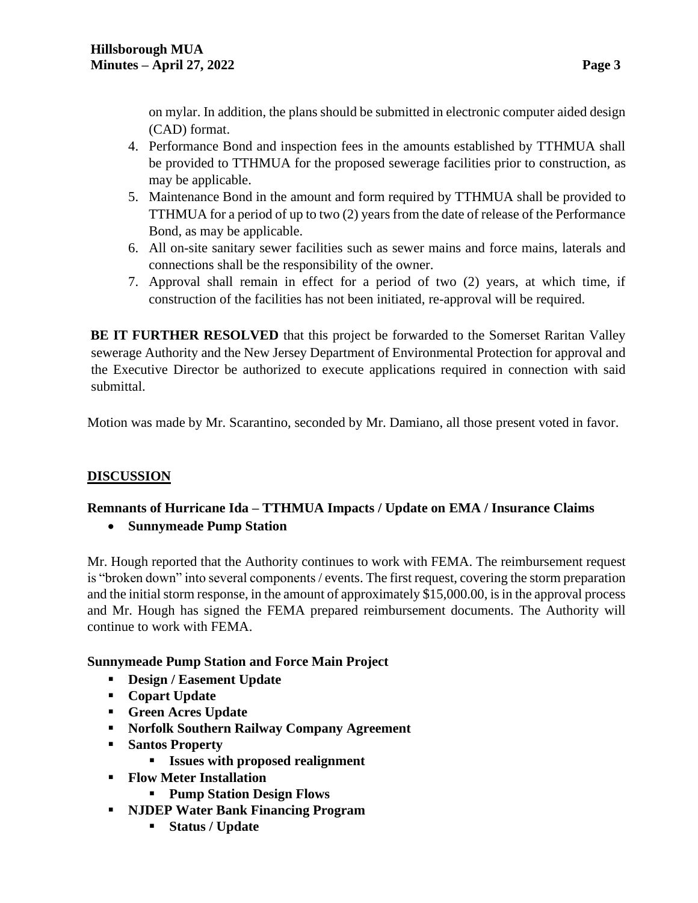on mylar. In addition, the plans should be submitted in electronic computer aided design (CAD) format.

- 4. Performance Bond and inspection fees in the amounts established by TTHMUA shall be provided to TTHMUA for the proposed sewerage facilities prior to construction, as may be applicable.
- 5. Maintenance Bond in the amount and form required by TTHMUA shall be provided to TTHMUA for a period of up to two (2) years from the date of release of the Performance Bond, as may be applicable.
- 6. All on-site sanitary sewer facilities such as sewer mains and force mains, laterals and connections shall be the responsibility of the owner.
- 7. Approval shall remain in effect for a period of two (2) years, at which time, if construction of the facilities has not been initiated, re-approval will be required.

**BE IT FURTHER RESOLVED** that this project be forwarded to the Somerset Raritan Valley sewerage Authority and the New Jersey Department of Environmental Protection for approval and the Executive Director be authorized to execute applications required in connection with said submittal.

Motion was made by Mr. Scarantino, seconded by Mr. Damiano, all those present voted in favor.

## **DISCUSSION**

## **Remnants of Hurricane Ida – TTHMUA Impacts / Update on EMA / Insurance Claims** • **Sunnymeade Pump Station**

Mr. Hough reported that the Authority continues to work with FEMA. The reimbursement request is "broken down" into several components / events. The first request, covering the storm preparation and the initial storm response, in the amount of approximately \$15,000.00, is in the approval process and Mr. Hough has signed the FEMA prepared reimbursement documents. The Authority will continue to work with FEMA.

### **Sunnymeade Pump Station and Force Main Project**

- **Design / Easement Update**
- **Copart Update**
- **Green Acres Update**
- **Norfolk Southern Railway Company Agreement**
- **Santos Property** 
	- **Issues with proposed realignment**
- **Flow Meter Installation**
	- **Pump Station Design Flows**
- **NJDEP Water Bank Financing Program**
	- **Status / Update**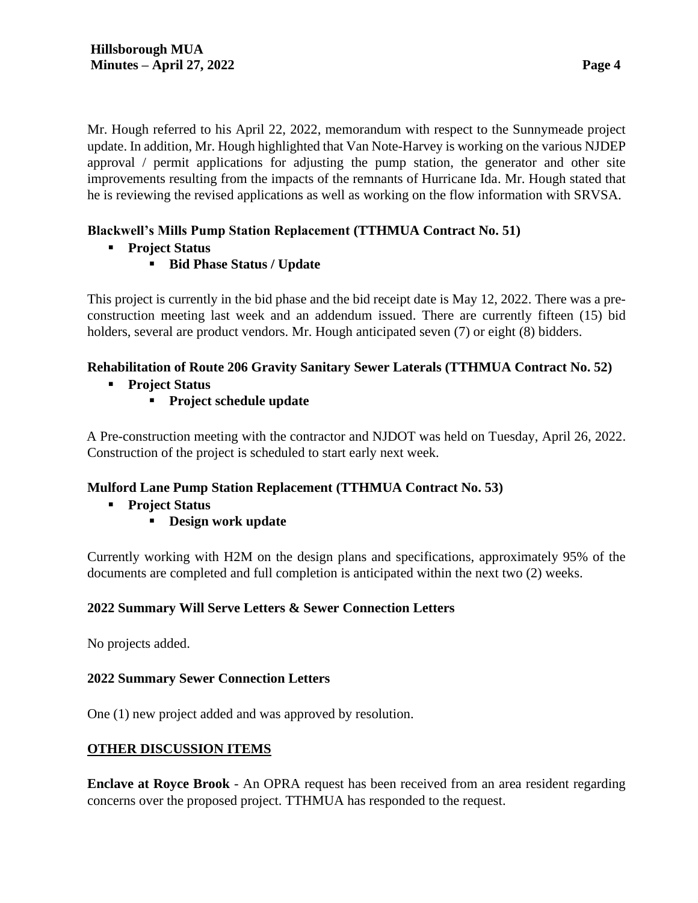Mr. Hough referred to his April 22, 2022, memorandum with respect to the Sunnymeade project update. In addition, Mr. Hough highlighted that Van Note-Harvey is working on the various NJDEP approval / permit applications for adjusting the pump station, the generator and other site improvements resulting from the impacts of the remnants of Hurricane Ida. Mr. Hough stated that he is reviewing the revised applications as well as working on the flow information with SRVSA.

## **Blackwell's Mills Pump Station Replacement (TTHMUA Contract No. 51)**

- **Project Status**
	- **Bid Phase Status / Update**

This project is currently in the bid phase and the bid receipt date is May 12, 2022. There was a preconstruction meeting last week and an addendum issued. There are currently fifteen (15) bid holders, several are product vendors. Mr. Hough anticipated seven (7) or eight (8) bidders.

# **Rehabilitation of Route 206 Gravity Sanitary Sewer Laterals (TTHMUA Contract No. 52)**

- **Project Status**
	- **Project schedule update**

A Pre-construction meeting with the contractor and NJDOT was held on Tuesday, April 26, 2022. Construction of the project is scheduled to start early next week.

# **Mulford Lane Pump Station Replacement (TTHMUA Contract No. 53)**

- **Project Status**
	- **Design work update**

Currently working with H2M on the design plans and specifications, approximately 95% of the documents are completed and full completion is anticipated within the next two (2) weeks.

# **2022 Summary Will Serve Letters & Sewer Connection Letters**

No projects added.

# **2022 Summary Sewer Connection Letters**

One (1) new project added and was approved by resolution.

# **OTHER DISCUSSION ITEMS**

**Enclave at Royce Brook** - An OPRA request has been received from an area resident regarding concerns over the proposed project. TTHMUA has responded to the request.